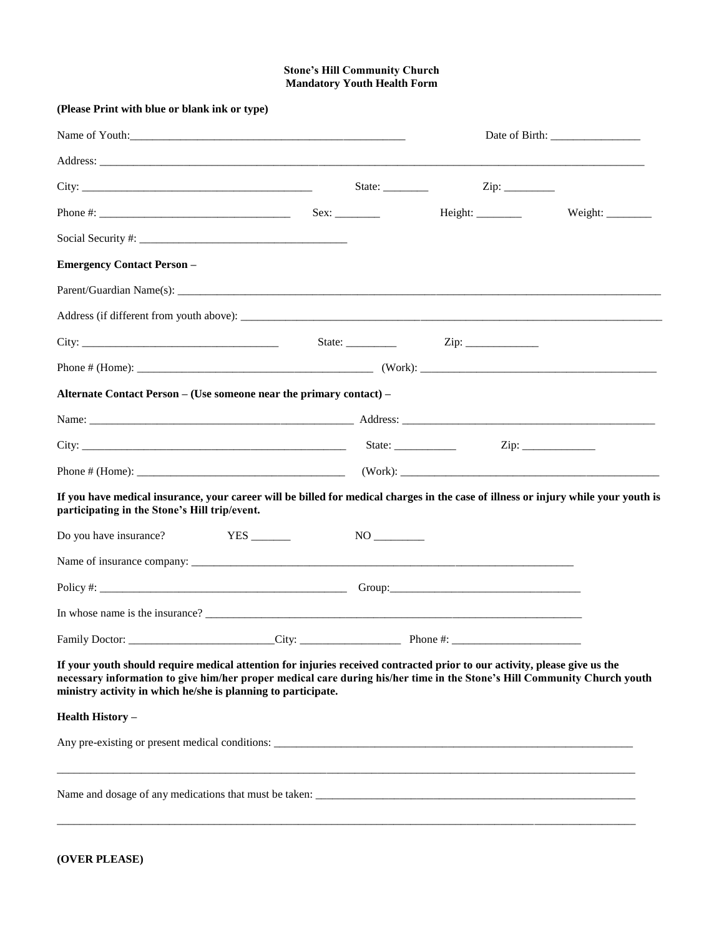## **Stone's Hill Community Church Mandatory Youth Health Form**

| (Please Print with blue or blank ink or type)                                                                                                                                                                                                                                                                                                                                                                                            |  |                             |  |                                                                                           |
|------------------------------------------------------------------------------------------------------------------------------------------------------------------------------------------------------------------------------------------------------------------------------------------------------------------------------------------------------------------------------------------------------------------------------------------|--|-----------------------------|--|-------------------------------------------------------------------------------------------|
|                                                                                                                                                                                                                                                                                                                                                                                                                                          |  |                             |  |                                                                                           |
|                                                                                                                                                                                                                                                                                                                                                                                                                                          |  |                             |  | the control of the control of the control of the control of the control of the control of |
|                                                                                                                                                                                                                                                                                                                                                                                                                                          |  | State: $\frac{2}{\sqrt{2}}$ |  |                                                                                           |
|                                                                                                                                                                                                                                                                                                                                                                                                                                          |  |                             |  | Weight: $\_\_$                                                                            |
| Social Security #: $\frac{1}{2}$ $\frac{1}{2}$ $\frac{1}{2}$ $\frac{1}{2}$ $\frac{1}{2}$ $\frac{1}{2}$ $\frac{1}{2}$ $\frac{1}{2}$ $\frac{1}{2}$ $\frac{1}{2}$ $\frac{1}{2}$ $\frac{1}{2}$ $\frac{1}{2}$ $\frac{1}{2}$ $\frac{1}{2}$ $\frac{1}{2}$ $\frac{1}{2}$ $\frac{1}{2}$ $\frac{1}{2}$ $\frac{1}{2}$ $\$                                                                                                                           |  |                             |  |                                                                                           |
| <b>Emergency Contact Person -</b>                                                                                                                                                                                                                                                                                                                                                                                                        |  |                             |  |                                                                                           |
|                                                                                                                                                                                                                                                                                                                                                                                                                                          |  |                             |  |                                                                                           |
|                                                                                                                                                                                                                                                                                                                                                                                                                                          |  |                             |  |                                                                                           |
|                                                                                                                                                                                                                                                                                                                                                                                                                                          |  |                             |  |                                                                                           |
|                                                                                                                                                                                                                                                                                                                                                                                                                                          |  |                             |  |                                                                                           |
| Alternate Contact Person - (Use someone near the primary contact) -                                                                                                                                                                                                                                                                                                                                                                      |  |                             |  |                                                                                           |
|                                                                                                                                                                                                                                                                                                                                                                                                                                          |  |                             |  |                                                                                           |
|                                                                                                                                                                                                                                                                                                                                                                                                                                          |  |                             |  |                                                                                           |
|                                                                                                                                                                                                                                                                                                                                                                                                                                          |  |                             |  |                                                                                           |
| If you have medical insurance, your career will be billed for medical charges in the case of illness or injury while your youth is<br>participating in the Stone's Hill trip/event.                                                                                                                                                                                                                                                      |  |                             |  |                                                                                           |
| Do you have insurance?                                                                                                                                                                                                                                                                                                                                                                                                                   |  |                             |  |                                                                                           |
|                                                                                                                                                                                                                                                                                                                                                                                                                                          |  |                             |  |                                                                                           |
|                                                                                                                                                                                                                                                                                                                                                                                                                                          |  |                             |  |                                                                                           |
| In whose name is the insurance? $\frac{1}{\sqrt{1-\frac{1}{2}}}\left\{1-\frac{1}{2}\left(\frac{1}{2}-\frac{1}{2}\right)\left(\frac{1}{2}-\frac{1}{2}\right)\left(\frac{1}{2}-\frac{1}{2}\right)\left(\frac{1}{2}-\frac{1}{2}\right)\left(\frac{1}{2}-\frac{1}{2}\right)\left(\frac{1}{2}-\frac{1}{2}\right)\left(\frac{1}{2}-\frac{1}{2}\right)\left(\frac{1}{2}-\frac{1}{2}\right)\left(\frac{1}{2}-\frac{1}{2}\right)\left(\frac{1}{2$ |  |                             |  |                                                                                           |
|                                                                                                                                                                                                                                                                                                                                                                                                                                          |  |                             |  |                                                                                           |
| If your youth should require medical attention for injuries received contracted prior to our activity, please give us the<br>necessary information to give him/her proper medical care during his/her time in the Stone's Hill Community Church youth<br>ministry activity in which he/she is planning to participate.                                                                                                                   |  |                             |  |                                                                                           |
| <b>Health History -</b>                                                                                                                                                                                                                                                                                                                                                                                                                  |  |                             |  |                                                                                           |
|                                                                                                                                                                                                                                                                                                                                                                                                                                          |  |                             |  |                                                                                           |
|                                                                                                                                                                                                                                                                                                                                                                                                                                          |  |                             |  |                                                                                           |
|                                                                                                                                                                                                                                                                                                                                                                                                                                          |  |                             |  |                                                                                           |